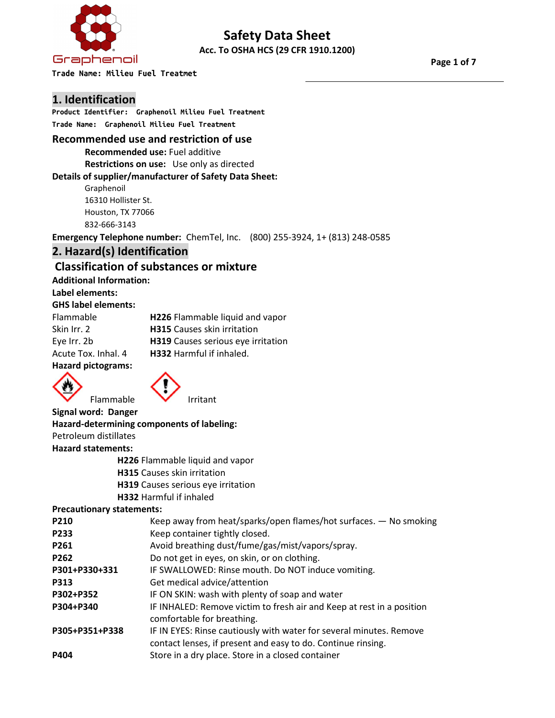

# Safety Data Sheet Acc. To OSHA HCS (29 CFR 1910.1200)

Trade Name: HeMax L ™ Combustion Chamber Catalyst **Trade Name: Milieu Fuel Treatmet** 

Page 1 of 7

# 1. Identification

Product Identifier: 77396 **Product Identifier: Graphenoil Milieu Fuel Treatment** Trade Name: Graphenoil Milieu Fuel Treatment

#### Recommended use and restriction of use

Recommended use: Fuel additive

Restrictions on use: Use only as directed Details of supplier/manufacturer of Safety Data Sheet:

Graphenoil **International** 16310 Hollister St. Houston, TX 77066 (781) 278-0010 832-666-3143

Emergency Telephone number: ChemTel, Inc. (800) 255-3924, 1+ (813) 248-0585

# 2. Hazard(s) Identification

# Classification of substances or mixture

Additional Information:

#### Label elements:

#### GHS label elements:

| Flammable           | H226 Flammable liquid and vapor    |
|---------------------|------------------------------------|
| Skin Irr. 2         | <b>H315</b> Causes skin irritation |
| Eye Irr. 2b         | H319 Causes serious eye irritation |
| Acute Tox. Inhal. 4 | <b>H332</b> Harmful if inhaled.    |
| Hazard nictograme:  |                                    |

#### Hazard pictograms:

Signal word: Danger





Hazard-determining components of labeling: Petroleum distillates Hazard statements: H226 Flammable liquid and vapor H315 Causes skin irritation H319 Causes serious eye irritation H332 Harmful if inhaled

#### Precautionary statements:

| P210             | Keep away from heat/sparks/open flames/hot surfaces. - No smoking                                                                   |
|------------------|-------------------------------------------------------------------------------------------------------------------------------------|
| <b>P233</b>      | Keep container tightly closed.                                                                                                      |
| P261             | Avoid breathing dust/fume/gas/mist/vapors/spray.                                                                                    |
| P <sub>262</sub> | Do not get in eyes, on skin, or on clothing.                                                                                        |
| P301+P330+331    | IF SWALLOWED: Rinse mouth. Do NOT induce vomiting.                                                                                  |
| <b>P313</b>      | Get medical advice/attention                                                                                                        |
| P302+P352        | IF ON SKIN: wash with plenty of soap and water                                                                                      |
| P304+P340        | IF INHALED: Remove victim to fresh air and Keep at rest in a position<br>comfortable for breathing.                                 |
| P305+P351+P338   | IF IN EYES: Rinse cautiously with water for several minutes. Remove<br>contact lenses, if present and easy to do. Continue rinsing. |
| <b>P404</b>      | Store in a dry place. Store in a closed container                                                                                   |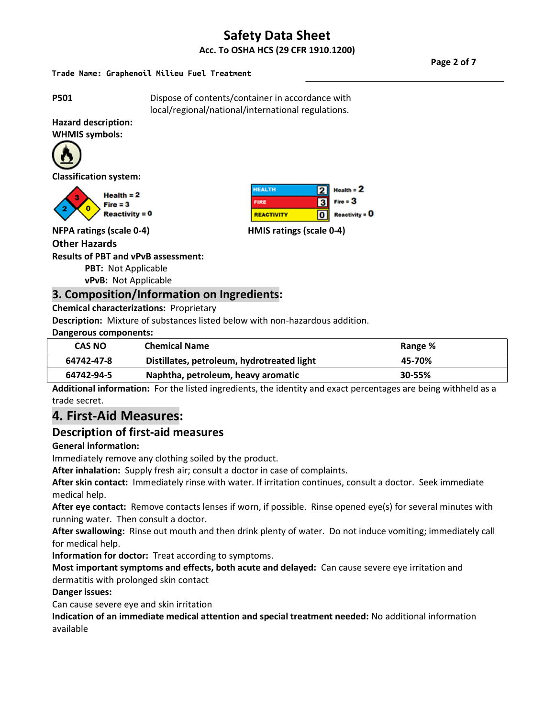# Safety Data Sheet Acc. To OSHA HCS (29 CFR 1910.1200)

# Trade Name: Graphenoil Milieu Fuel Treatment

Page 2 of 7

**P501** Dispose of contents/container in accordance with local/regional/national/international regulations.

**HEALTH** 

**REACTIVITY** 

**FIRE** 

21

 $\overline{\mathbf{3}}$ 

 $\overline{\mathbf{o}}$ 

 $Heath = 2$ 

 $R$ eactivity =  $0$ 

 $Fire = 3$ 

Hazard description: WHMIS symbols:



Classification system:



 $Reactivity = 0$ 

NFPA ratings (scale 0-4) HMIS ratings (scale 0-4)

#### Other Hazards

Results of PBT and vPvB assessment:

PBT: Not Applicable

vPvB: Not Applicable

### 3. Composition/Information on Ingredients:

Chemical characterizations: Proprietary

Description: Mixture of substances listed below with non-hazardous addition.

Dangerous components:

| <b>CAS NO</b> | <b>Chemical Name</b>                       | Range % |
|---------------|--------------------------------------------|---------|
| 64742-47-8    | Distillates, petroleum, hydrotreated light | 45-70%  |
| 64742-94-5    | Naphtha, petroleum, heavy aromatic         | 30-55%  |

Additional information: For the listed ingredients, the identity and exact percentages are being withheld as a trade secret.

# 4. First-Aid Measures:

### Description of first-aid measures

#### General information:

Immediately remove any clothing soiled by the product.

After inhalation: Supply fresh air; consult a doctor in case of complaints.

After skin contact: Immediately rinse with water. If irritation continues, consult a doctor. Seek immediate medical help.

After eye contact: Remove contacts lenses if worn, if possible. Rinse opened eye(s) for several minutes with running water. Then consult a doctor.

After swallowing: Rinse out mouth and then drink plenty of water. Do not induce vomiting; immediately call for medical help.

Information for doctor: Treat according to symptoms.

Most important symptoms and effects, both acute and delayed: Can cause severe eye irritation and dermatitis with prolonged skin contact

Danger issues:

Can cause severe eye and skin irritation

Indication of an immediate medical attention and special treatment needed: No additional information available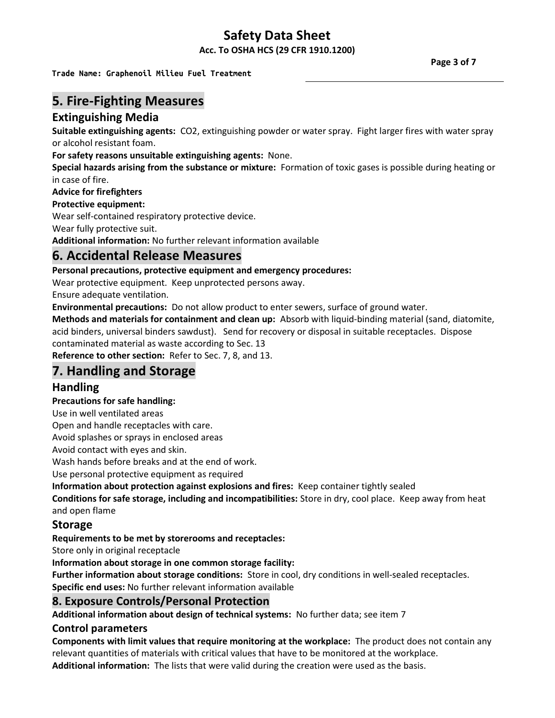Acc. To OSHA HCS (29 CFR 1910.1200)

Trade Name: Graphenoil Milieu Fuel Treatment

# 5. Fire-Fighting Measures

# Extinguishing Media

Suitable extinguishing agents: CO2, extinguishing powder or water spray. Fight larger fires with water spray or alcohol resistant foam.

For safety reasons unsuitable extinguishing agents: None.

Special hazards arising from the substance or mixture: Formation of toxic gases is possible during heating or in case of fire.

### Advice for firefighters

Protective equipment:

Wear self-contained respiratory protective device.

Wear fully protective suit.

Additional information: No further relevant information available

# 6. Accidental Release Measures

Personal precautions, protective equipment and emergency procedures:

Wear protective equipment. Keep unprotected persons away.

Ensure adequate ventilation.

Environmental precautions: Do not allow product to enter sewers, surface of ground water.

Methods and materials for containment and clean up: Absorb with liquid-binding material (sand, diatomite, acid binders, universal binders sawdust). Send for recovery or disposal in suitable receptacles. Dispose contaminated material as waste according to Sec. 13

Reference to other section: Refer to Sec. 7, 8, and 13.

# 7. Handling and Storage

# Handling

#### Precautions for safe handling:

Use in well ventilated areas

Open and handle receptacles with care.

Avoid splashes or sprays in enclosed areas

Avoid contact with eyes and skin.

Wash hands before breaks and at the end of work.

Use personal protective equipment as required

Information about protection against explosions and fires: Keep container tightly sealed

Conditions for safe storage, including and incompatibilities: Store in dry, cool place. Keep away from heat and open flame

### Storage

Requirements to be met by storerooms and receptacles:

Store only in original receptacle

Information about storage in one common storage facility:

Further information about storage conditions: Store in cool, dry conditions in well-sealed receptacles. Specific end uses: No further relevant information available

# 8. Exposure Controls/Personal Protection

Additional information about design of technical systems: No further data; see item 7

#### Control parameters

Components with limit values that require monitoring at the workplace: The product does not contain any relevant quantities of materials with critical values that have to be monitored at the workplace.

Additional information: The lists that were valid during the creation were used as the basis.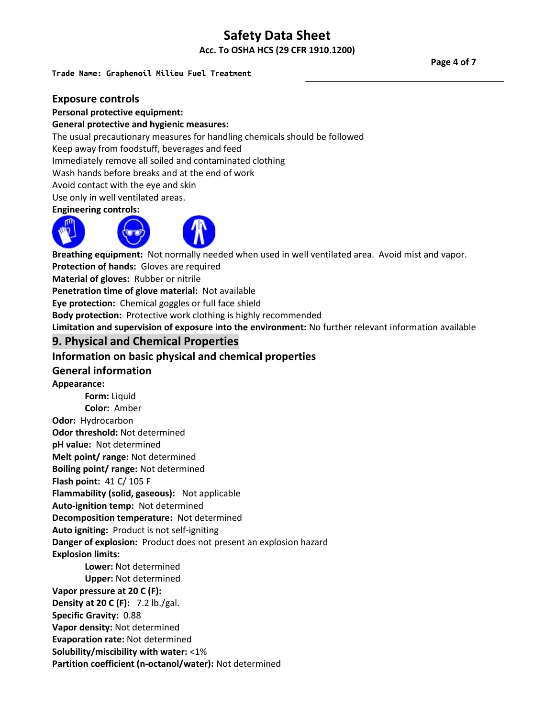Acc. To OSHA HCS (29 CFR 1910.1200)

# Trade Name: Graphenoil Milieu Fuel Treatment

#### Exposure controls

#### Personal protective equipment:

#### General protective and hygienic measures:

The usual precautionary measures for handling chemicals should be followed

Keep away from foodstuff, beverages and feed

Immediately remove all soiled and contaminated clothing

Wash hands before breaks and at the end of work

Avoid contact with the eye and skin

Use only in well ventilated areas.

#### Engineering controls:



Breathing equipment: Not normally needed when used in well ventilated area. Avoid mist and vapor. Protection of hands: Gloves are required Material of gloves: Rubber or nitrile Penetration time of glove material: Not available Eye protection: Chemical goggles or full face shield

Body protection: Protective work clothing is highly recommended

Limitation and supervision of exposure into the environment: No further relevant information available

# 9. Physical and Chemical Properties

### Information on basic physical and chemical properties

#### General information

Appearance:

 Form: Liquid Color: Amber Odor: Hydrocarbon Odor threshold: Not determined pH value: Not determined Melt point/ range: Not determined Boiling point/ range: Not determined Flash point: 41 C/ 105 F Flammability (solid, gaseous): Not applicable Auto-ignition temp: Not determined Decomposition temperature: Not determined Auto igniting: Product is not self-igniting Danger of explosion: Product does not present an explosion hazard Explosion limits: Lower: Not determined Upper: Not determined Vapor pressure at 20 C (F): Density at 20 C (F): 7.2 lb./gal. Specific Gravity: 0.88 Vapor density: Not determined Evaporation rate: Not determined Solubility/miscibility with water: <1%

Partition coefficient (n-octanol/water): Not determined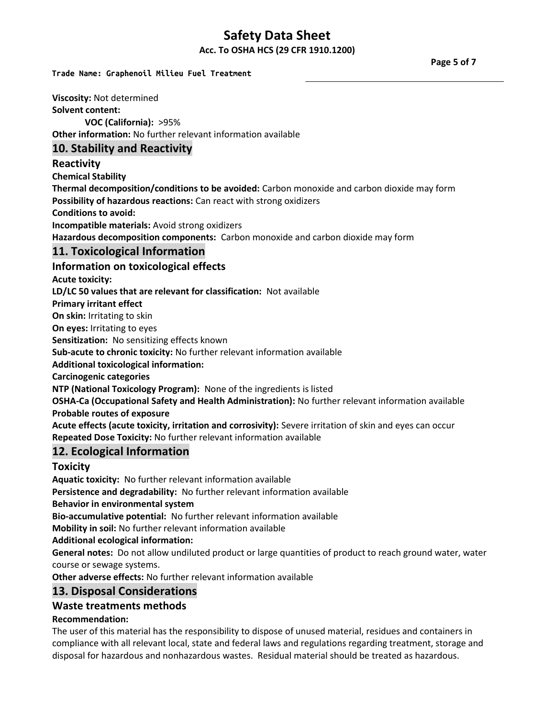Acc. To OSHA HCS (29 CFR 1910.1200)

# Trade Name: Graphenoil Milieu Fuel Treatment

Page 5 of 7

Viscosity: Not determined Solvent content: VOC (California): >95% Other information: No further relevant information available 10. Stability and Reactivity Reactivity Chemical Stability Thermal decomposition/conditions to be avoided: Carbon monoxide and carbon dioxide may form Possibility of hazardous reactions: Can react with strong oxidizers Conditions to avoid: Incompatible materials: Avoid strong oxidizers Hazardous decomposition components: Carbon monoxide and carbon dioxide may form 11. Toxicological Information Information on toxicological effects Acute toxicity: LD/LC 50 values that are relevant for classification: Not available Primary irritant effect On skin: Irritating to skin On eyes: Irritating to eyes Sensitization: No sensitizing effects known Sub-acute to chronic toxicity: No further relevant information available Additional toxicological information: Carcinogenic categories NTP (National Toxicology Program): None of the ingredients is listed OSHA-Ca (Occupational Safety and Health Administration): No further relevant information available Probable routes of exposure Acute effects (acute toxicity, irritation and corrosivity): Severe irritation of skin and eyes can occur Repeated Dose Toxicity: No further relevant information available 12. Ecological Information Toxicity Aquatic toxicity: No further relevant information available Persistence and degradability: No further relevant information available Behavior in environmental system Bio-accumulative potential: No further relevant information available Mobility in soil: No further relevant information available Additional ecological information: General notes: Do not allow undiluted product or large quantities of product to reach ground water, water course or sewage systems.

Other adverse effects: No further relevant information available

# 13. Disposal Considerations

#### Waste treatments methods

#### Recommendation:

The user of this material has the responsibility to dispose of unused material, residues and containers in compliance with all relevant local, state and federal laws and regulations regarding treatment, storage and disposal for hazardous and nonhazardous wastes. Residual material should be treated as hazardous.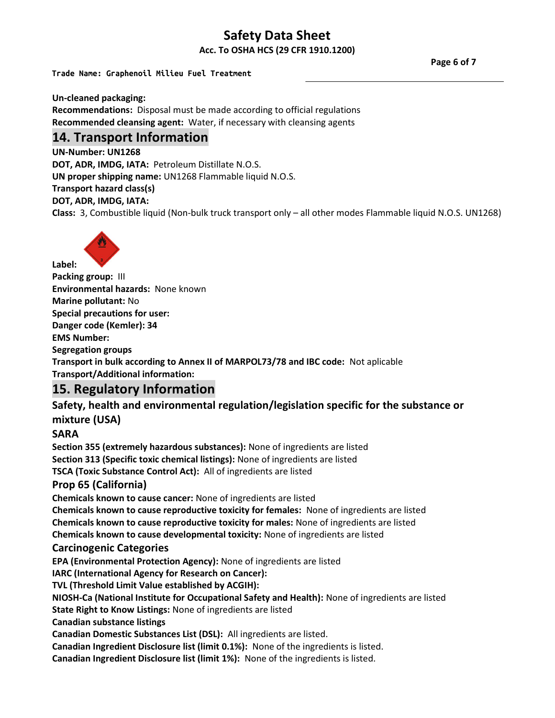Acc. To OSHA HCS (29 CFR 1910.1200)

# Trade Name: Graphenoil Milieu Fuel Treatment

Page 6 of 7

Un-cleaned packaging: Recommendations: Disposal must be made according to official regulations

Recommended cleansing agent: Water, if necessary with cleansing agents

# 14. Transport Information

UN-Number: UN1268 DOT, ADR, IMDG, IATA: Petroleum Distillate N.O.S. UN proper shipping name: UN1268 Flammable liquid N.O.S.

Transport hazard class(s) DOT, ADR, IMDG, IATA:

Class: 3, Combustible liquid (Non-bulk truck transport only – all other modes Flammable liquid N.O.S. UN1268)



Packing group: III Environmental hazards: None known Marine pollutant: No Special precautions for user: Danger code (Kemler): 34 EMS Number: Segregation groups Transport in bulk according to Annex II of MARPOL73/78 and IBC code: Not aplicable Transport/Additional information:

# 15. Regulatory Information

# Safety, health and environmental regulation/legislation specific for the substance or mixture (USA)

# SARA

Label:

Section 355 (extremely hazardous substances): None of ingredients are listed Section 313 (Specific toxic chemical listings): None of ingredients are listed TSCA (Toxic Substance Control Act): All of ingredients are listed Prop 65 (California)

Chemicals known to cause cancer: None of ingredients are listed

Chemicals known to cause reproductive toxicity for females: None of ingredients are listed Chemicals known to cause reproductive toxicity for males: None of ingredients are listed Chemicals known to cause developmental toxicity: None of ingredients are listed

### Carcinogenic Categories

EPA (Environmental Protection Agency): None of ingredients are listed

IARC (International Agency for Research on Cancer):

TVL (Threshold Limit Value established by ACGIH):

NIOSH-Ca (National Institute for Occupational Safety and Health): None of ingredients are listed

State Right to Know Listings: None of ingredients are listed

Canadian substance listings

Canadian Domestic Substances List (DSL): All ingredients are listed.

Canadian Ingredient Disclosure list (limit 0.1%): None of the ingredients is listed.

Canadian Ingredient Disclosure list (limit 1%): None of the ingredients is listed.